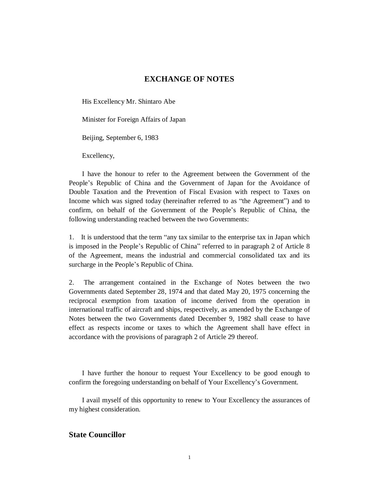# **EXCHANGE OF NOTES**

His Excellency Mr. Shintaro Abe

Minister for Foreign Affairs of Japan

Beijing, September 6, 1983

Excellency,

I have the honour to refer to the Agreement between the Government of the People's Republic of China and the Government of Japan for the Avoidance of Double Taxation and the Prevention of Fiscal Evasion with respect to Taxes on Income which was signed today (hereinafter referred to as "the Agreement") and to confirm, on behalf of the Government of the People's Republic of China, the following understanding reached between the two Governments:

1. It is understood that the term "any tax similar to the enterprise tax in Japan which is imposed in the People's Republic of China" referred to in paragraph 2 of Article 8 of the Agreement, means the industrial and commercial consolidated tax and its surcharge in the People's Republic of China.

2. The arrangement contained in the Exchange of Notes between the two Governments dated September 28, 1974 and that dated May 20, 1975 concerning the reciprocal exemption from taxation of income derived from the operation in international traffic of aircraft and ships, respectively, as amended by the Exchange of Notes between the two Governments dated December 9, 1982 shall cease to have effect as respects income or taxes to which the Agreement shall have effect in accordance with the provisions of paragraph 2 of Article 29 thereof.

I have further the honour to request Your Excellency to be good enough to confirm the foregoing understanding on behalf of Your Excellency's Government.

I avail myself of this opportunity to renew to Your Excellency the assurances of my highest consideration.

## **State Councillor**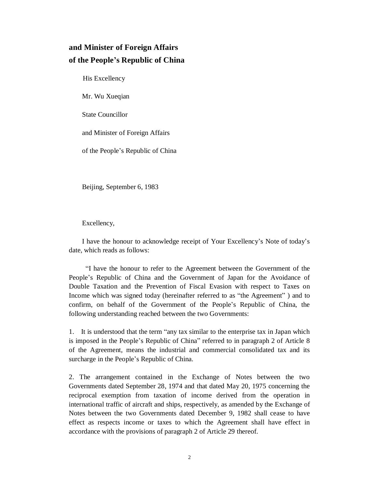# **and Minister of Foreign Affairs of the People's Republic of China**

His Excellency

Mr. Wu Xueqian

State Councillor

and Minister of Foreign Affairs

of the People's Republic of China

Beijing, September 6, 1983

Excellency,

I have the honour to acknowledge receipt of Your Excellency's Note of today's date, which reads as follows:

"I have the honour to refer to the Agreement between the Government of the People's Republic of China and the Government of Japan for the Avoidance of Double Taxation and the Prevention of Fiscal Evasion with respect to Taxes on Income which was signed today (hereinafter referred to as "the Agreement" ) and to confirm, on behalf of the Government of the People's Republic of China, the following understanding reached between the two Governments:

1. It is understood that the term "any tax similar to the enterprise tax in Japan which is imposed in the People's Republic of China" referred to in paragraph 2 of Article 8 of the Agreement, means the industrial and commercial consolidated tax and its surcharge in the People's Republic of China.

2. The arrangement contained in the Exchange of Notes between the two Governments dated September 28, 1974 and that dated May 20, 1975 concerning the reciprocal exemption from taxation of income derived from the operation in international traffic of aircraft and ships, respectively, as amended by the Exchange of Notes between the two Governments dated December 9, 1982 shall cease to have effect as respects income or taxes to which the Agreement shall have effect in accordance with the provisions of paragraph 2 of Article 29 thereof.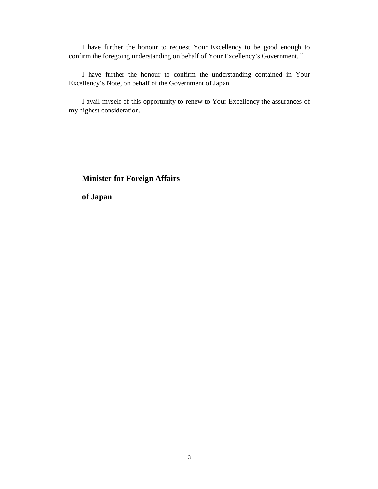I have further the honour to request Your Excellency to be good enough to confirm the foregoing understanding on behalf of Your Excellency's Government. "

I have further the honour to confirm the understanding contained in Your Excellency's Note, on behalf of the Government of Japan.

I avail myself of this opportunity to renew to Your Excellency the assurances of my highest consideration.

# **Minister for Foreign Affairs**

**of Japan**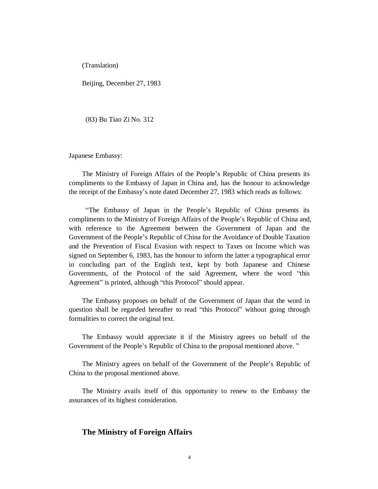(Translation)

Beijing, December 27, 1983

(83) Bu Tiao Zi No. 312

Japanese Embassy:

The Ministry of Foreign Affairs of the People's Republic of China presents its compliments to the Embassy of Japan in China and, has the honour to acknowledge the receipt of the Embassy's note dated December 27, 1983 which reads as follows:

"The Embassy of Japan in the People's Republic of China presents its compliments to the Ministry of Foreign Affairs of the People's Republic of China and, with reference to the Agreement between the Government of Japan and the Government of the People's Republic of China for the Avoidance of Double Taxation and the Prevention of Fiscal Evasion with respect to Taxes on Income which was signed on September 6, 1983, has the honour to inform the latter a typographical error in concluding part of the English text, kept by both Japanese and Chinese Governments, of the Protocol of the said Agreement, where the word "this Agreement" is printed, although "this Protocol" should appear.

The Embassy proposes on behalf of the Government of Japan that the word in question shall be regarded hereafter to read "this Protocol" without going through formalities to correct the original text.

The Embassy would appreciate it if the Ministry agrees on behalf of the Government of the People's Republic of China to the proposal mentioned above. "

The Ministry agrees on behalf of the Government of the People's Republic of China to the proposal mentioned above.

The Ministry avails itself of this opportunity to renew to the Embassy the assurances of its highest consideration.

#### **The Ministry of Foreign Affairs**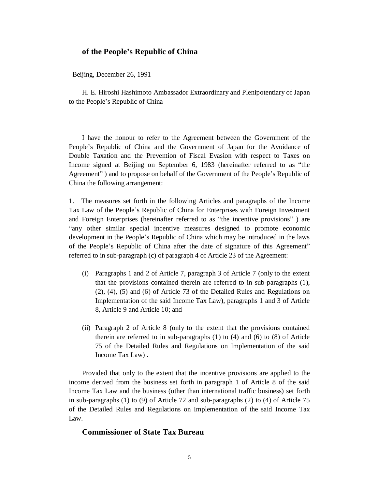#### **of the People's Republic of China**

Beijing, December 26, 1991

H. E. Hiroshi Hashimoto Ambassador Extraordinary and Plenipotentiary of Japan to the People's Republic of China

I have the honour to refer to the Agreement between the Government of the People's Republic of China and the Government of Japan for the Avoidance of Double Taxation and the Prevention of Fiscal Evasion with respect to Taxes on Income signed at Beijing on September 6, 1983 (hereinafter referred to as "the Agreement" ) and to propose on behalf of the Government of the People's Republic of China the following arrangement:

1. The measures set forth in the following Articles and paragraphs of the Income Tax Law of the People's Republic of China for Enterprises with Foreign Investment and Foreign Enterprises (hereinafter referred to as "the incentive provisions" ) are "any other similar special incentive measures designed to promote economic development in the People's Republic of China which may be introduced in the laws of the People's Republic of China after the date of signature of this Agreement" referred to in sub-paragraph (c) of paragraph 4 of Article 23 of the Agreement:

- (i) Paragraphs 1 and 2 of Article 7, paragraph 3 of Article 7 (only to the extent that the provisions contained therein are referred to in sub-paragraphs (1), (2), (4), (5) and (6) of Article 73 of the Detailed Rules and Regulations on Implementation of the said Income Tax Law), paragraphs 1 and 3 of Article 8, Article 9 and Article 10; and
- (ii) Paragraph 2 of Article 8 (only to the extent that the provisions contained therein are referred to in sub-paragraphs (1) to (4) and (6) to (8) of Article 75 of the Detailed Rules and Regulations on Implementation of the said Income Tax Law) .

Provided that only to the extent that the incentive provisions are applied to the income derived from the business set forth in paragraph 1 of Article 8 of the said Income Tax Law and the business (other than international traffic business) set forth in sub-paragraphs (1) to (9) of Article 72 and sub-paragraphs (2) to (4) of Article 75 of the Detailed Rules and Regulations on Implementation of the said Income Tax Law.

# **Commissioner of State Tax Bureau**